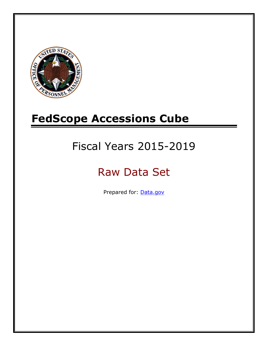

# **FedScope Accessions Cube**

# Fiscal Years 2015-2019

# Raw Data Set

Prepared for: [Data.gov](http://www.data.gov/)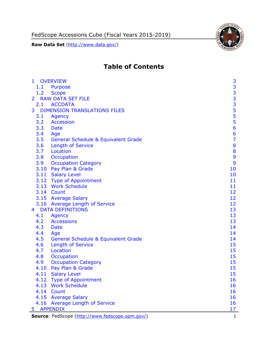

# **Table of Contents**

| $\mathbf{1}$   | <b>OVERVIEW</b>                                 | 3              |
|----------------|-------------------------------------------------|----------------|
| 1.1            | Purpose                                         |                |
| 1.2            | <b>Scope</b>                                    |                |
| $\overline{2}$ | <b>RAW DATA SET FILE</b>                        |                |
| 2.1            | <b>ACCDATA</b>                                  |                |
| 3              | <b>DIMENSION TRANSLATIONS FILES</b>             | 33335556       |
| 3.1            | Agency                                          |                |
| 3.2            | <b>Accession</b>                                |                |
| 3.3            | Date                                            |                |
| 3.4            | Age                                             | 6              |
| 3.5            | <b>General Schedule &amp; Equivalent Grade</b>  | $\overline{7}$ |
| 3.6            | <b>Length of Service</b>                        | 8              |
| 3.7            | Location                                        | 8              |
| 3.8            | Occupation                                      | 9              |
| 3.9            | <b>Occupation Category</b>                      | 9              |
|                | 3.10 Pay Plan & Grade                           | 10             |
|                | 3.11 Salary Level                               | 10             |
|                | 3.12 Type of Appointment                        | 11             |
|                | 3.13 Work Schedule                              | 11             |
|                | 3.14 Count                                      | 12             |
|                | 3.15 Average Salary                             | 12             |
|                | 3.16 Average Length of Service                  | 12             |
| 4              | <b>DATA DEFINITIONS</b>                         | 13             |
| 4.1            | Agency                                          | 13             |
| 4.2            | <b>Accessions</b>                               | 13             |
| 4.3            | Date                                            | 14             |
| 4.4            | Age                                             | 14             |
| 4.5            | <b>General Schedule &amp; Equivalent Grade</b>  | 14             |
| 4.6            | <b>Length of Service</b>                        | 15             |
| 4.7            | Location                                        | 15             |
| 4.8            | Occupation                                      | 15             |
| 4.9            | <b>Occupation Category</b>                      | 15             |
| 4.10           | Pay Plan & Grade                                | 15             |
|                | 4.11 Salary Level                               | 15             |
|                | 4.12 Type of Appointment                        | 16             |
|                | 4.13 Work Schedule                              | 16             |
|                | 4.14 Count                                      | 16             |
|                | 4.15 Average Salary                             | 16             |
|                | 4.16 Average Length of Service                  | 16             |
| 5              | <b>APPENDIX</b>                                 | 17             |
|                | Source: FedScope (http://www.fedscope.opm.gov/) | $\mathbf{1}$   |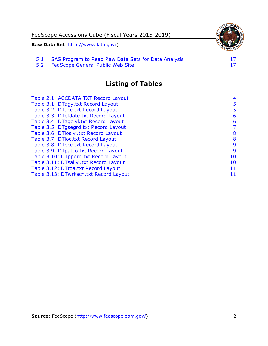

5.2 [FedScope General Public Web Site](#page-17-2)

## **Listing of Tables**

| Table 2.1: ACCDATA.TXT Record Layout   | 4  |
|----------------------------------------|----|
| Table 3.1: DTagy.txt Record Layout     | 5  |
| Table 3.2: DTacc.txt Record Layout     | 5  |
| Table 3.3: DTefdate.txt Record Layout  | 6  |
| Table 3.4: DTagelvl.txt Record Layout  | 6  |
| Table 3.5: DTgsegrd.txt Record Layout  | 7  |
| Table 3.6: DTloslvl.txt Record Layout  | 8  |
| Table 3.7: DTloc.txt Record Layout     | 8  |
| Table 3.8: DTocc.txt Record Layout     | 9  |
| Table 3.9: DTpatco.txt Record Layout   | 9  |
| Table 3.10: DTppgrd.txt Record Layout  | 10 |
| Table 3.11: DTsallvl.txt Record Layout | 10 |
| Table 3.12: DTtoa.txt Record Layout    | 11 |
| Table 3.13: DTwrksch.txt Record Layout | 11 |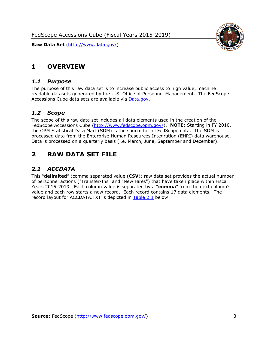<span id="page-3-0"></span>

#### <span id="page-3-1"></span>*1.1 Purpose*

The purpose of this raw data set is to increase public access to high value, machine readable datasets generated by the U.S. Office of Personnel Management. The FedScope Accessions Cube data sets are available via [Data.gov.](http://www.data.gov/)

#### <span id="page-3-2"></span>*1.2 Scope*

The scope of this raw data set includes all data elements used in the creation of the FedScope Accessions Cube [\(http://www.fedscope.opm.gov/\)](http://www.fedscope.opm.gov/). **NOTE**: Starting in FY 2010, the OPM Statistical Data Mart (SDM) is the source for all FedScope data. The SDM is processed data from the Enterprise Human Resources Integration (EHRI) data warehouse. Data is processed on a quarterly basis (i.e. March, June, September and December).

## <span id="page-3-3"></span>**2 RAW DATA SET FILE**

## <span id="page-3-4"></span>*2.1 ACCDATA*

This "**delimited**" (comma separated value (**CSV**)) raw data set provides the actual number of personnel actions ("Transfer-Ins" and "New Hires") that have taken place within Fiscal Years 2015-2019. Each column value is separated by a "**comma**" from the next column's value and each row starts a new record. Each record contains 17 data elements. The record layout for ACCDATA.TXT is depicted in [Table 2.1](#page-4-0) below:

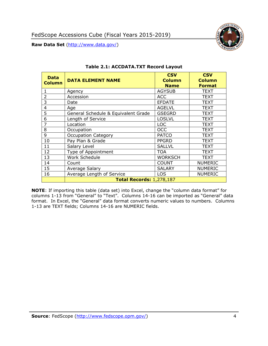

<span id="page-4-0"></span>

| <b>Data</b><br><b>Column</b> | <b>DATA ELEMENT NAME</b>            | <b>CSV</b><br><b>Column</b><br><b>Name</b> | <b>CSV</b><br><b>Column</b><br><b>Format</b> |
|------------------------------|-------------------------------------|--------------------------------------------|----------------------------------------------|
|                              | Agency                              | <b>AGYSUB</b>                              | <b>TEXT</b>                                  |
| $\overline{2}$               | Accession                           | <b>ACC</b>                                 | <b>TEXT</b>                                  |
| 3                            | Date                                | <b>EFDATE</b>                              | <b>TEXT</b>                                  |
| 4                            | Age                                 | <b>AGELVL</b>                              | <b>TEXT</b>                                  |
| 5                            | General Schedule & Equivalent Grade | <b>GSEGRD</b>                              | <b>TEXT</b>                                  |
| 6                            | Length of Service                   | <b>LOSLVL</b>                              | <b>TEXT</b>                                  |
| 7                            | Location                            | <b>LOC</b>                                 | TEXT                                         |
| 8                            | Occupation                          | <b>OCC</b>                                 | <b>TEXT</b>                                  |
| 9                            | Occupation Category                 | <b>PATCO</b>                               | <b>TEXT</b>                                  |
| 10                           | Pay Plan & Grade                    | <b>PPGRD</b>                               | TEXT                                         |
| 11                           | Salary Level                        | <b>SALLVL</b>                              | <b>TEXT</b>                                  |
| 12                           | Type of Appointment                 | <b>TOA</b>                                 | <b>TEXT</b>                                  |
| 13                           | Work Schedule                       | <b>WORKSCH</b>                             | <b>TEXT</b>                                  |
| 14                           | Count                               | <b>COUNT</b>                               | <b>NUMERIC</b>                               |
| 15                           | Average Salary                      | <b>SALARY</b>                              | <b>NUMERIC</b>                               |
| 16                           | Average Length of Service           | <b>LOS</b>                                 | <b>NUMERIC</b>                               |
|                              | <b>Total Records: 1,278,187</b>     |                                            |                                              |

#### **Table 2.1: ACCDATA.TXT Record Layout**

**NOTE**: If importing this table (data set) into Excel, change the "column data format" for columns 1-13 from "General" to "Text". Columns 14-16 can be imported as "General" data format. In Excel, the "General" data format converts numeric values to numbers. Columns 1-13 are TEXT fields; Columns 14-16 are NUMERIC fields.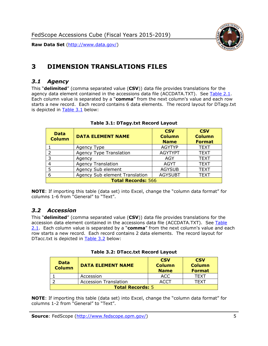

# <span id="page-5-0"></span>**3 DIMENSION TRANSLATIONS FILES**

#### <span id="page-5-1"></span>*3.1 Agency*

This "**delimited**" (comma separated value (**CSV**)) data file provides translations for the agency data element contained in the accessions data file (ACCDATA.TXT). See [Table 2.1.](#page-4-0) Each column value is separated by a "**comma**" from the next column's value and each row starts a new record. Each record contains 6 data elements. The record layout for DTagy.txt is depicted in [Table 3.1](#page-5-3) below:

<span id="page-5-3"></span>

| <b>Data</b><br><b>Column</b> | <b>DATA ELEMENT NAME</b>       | <b>CSV</b><br><b>Column</b><br><b>Name</b> | <b>CSV</b><br><b>Column</b><br><b>Format</b> |  |
|------------------------------|--------------------------------|--------------------------------------------|----------------------------------------------|--|
|                              | Agency Type                    | <b>AGYTYP</b>                              | <b>TEXT</b>                                  |  |
| 2                            | <b>Agency Type Translation</b> | <b>AGYTYPT</b>                             | <b>TEXT</b>                                  |  |
| 3                            | Agency                         | AGY                                        | <b>TEXT</b>                                  |  |
| 4                            | <b>Agency Translation</b>      | <b>AGYT</b>                                | <b>TEXT</b>                                  |  |
| 5                            | Agency Sub element             | <b>AGYSUB</b>                              | <b>TEXT</b>                                  |  |
| 6                            | Agency Sub element Translation | <b>AGYSUBT</b>                             | <b>TEXT</b>                                  |  |
| <b>Total Records: 566</b>    |                                |                                            |                                              |  |

#### **Table 3.1: DTagy.txt Record Layout**

**NOTE**: If importing this table (data set) into Excel, change the "column data format" for columns 1-6 from "General" to "Text".

#### <span id="page-5-2"></span>*3.2 Accession*

This "**delimited**" (comma separated value (**CSV**)) data file provides translations for the accession data element contained in the accessions data file (ACCDATA.TXT). See [Table](#page-4-0)  [2.1.](#page-4-0) Each column value is separated by a "**comma**" from the next column's value and each row starts a new record. Each record contains 2 data elements. The record layout for DTacc.txt is depicted in [Table 3.2](#page-5-4) below:

|  |  |  |  |  | <b>Table 3.2: DTacc.txt Record Layout</b> |
|--|--|--|--|--|-------------------------------------------|
|--|--|--|--|--|-------------------------------------------|

<span id="page-5-4"></span>

| <b>Data</b><br><b>Column</b> | <b>DATA ELEMENT NAME</b>     | <b>CSV</b><br><b>Column</b><br><b>Name</b> | <b>CSV</b><br><b>Column</b><br><b>Format</b> |
|------------------------------|------------------------------|--------------------------------------------|----------------------------------------------|
|                              | Accession                    | ACC                                        | TFXT                                         |
|                              | <b>Accession Translation</b> | ACCT                                       | TFXT                                         |
| <b>Total Records: 5</b>      |                              |                                            |                                              |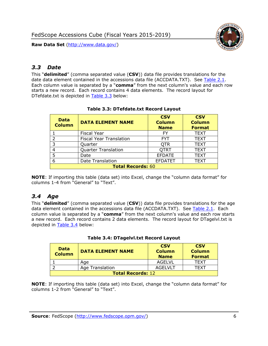

### <span id="page-6-0"></span>*3.3 Date*

This "**delimited**" (comma separated value (**CSV**)) data file provides translations for the date data element contained in the accessions data file (ACCDATA.TXT). See [Table 2.1.](#page-4-0) Each column value is separated by a "**comma**" from the next column's value and each row starts a new record. Each record contains 4 data elements. The record layout for DTefdate.txt is depicted in [Table 3.3](#page-6-2) below:

<span id="page-6-2"></span>

| <b>Data</b><br><b>Column</b> | <b>DATA ELEMENT NAME</b>       | <b>CSV</b><br><b>Column</b><br><b>Name</b> | <b>CSV</b><br><b>Column</b><br><b>Format</b> |
|------------------------------|--------------------------------|--------------------------------------------|----------------------------------------------|
|                              | <b>Fiscal Year</b>             | FY                                         | <b>TEXT</b>                                  |
| フ                            | <b>Fiscal Year Translation</b> | <b>FYT</b>                                 | <b>TEXT</b>                                  |
| 3                            | Quarter                        | <b>QTR</b>                                 | <b>TEXT</b>                                  |
|                              | <b>Quarter Translation</b>     | <b>QTRT</b>                                | <b>TEXT</b>                                  |
| 5                            | Date                           | <b>EFDATE</b>                              | <b>TEXT</b>                                  |
| 6                            | Date Translation               | <b>EFDATET</b>                             | TEXT                                         |
| <b>Total Records: 60</b>     |                                |                                            |                                              |

#### **Table 3.3: DTefdate.txt Record Layout**

**NOTE**: If importing this table (data set) into Excel, change the "column data format" for columns 1-4 from "General" to "Text".

## <span id="page-6-1"></span>*3.4 Age*

This "**delimited**" (comma separated value (**CSV**)) data file provides translations for the age data element contained in the accessions data file (ACCDATA.TXT). See [Table 2.1.](#page-4-0) Each column value is separated by a "**comma**" from the next column's value and each row starts a new record. Each record contains 2 data elements. The record layout for DTagelvl.txt is depicted in [Table 3.4](#page-6-3) below:

<span id="page-6-3"></span>

| <b>Data</b><br><b>Column</b> | <b>DATA ELEMENT NAME</b> | <b>CSV</b><br><b>Column</b><br><b>Name</b> | <b>CSV</b><br><b>Column</b><br><b>Format</b> |
|------------------------------|--------------------------|--------------------------------------------|----------------------------------------------|
|                              | Age                      | <b>AGELVL</b>                              | <b>TFXT</b>                                  |
|                              | <b>Age Translation</b>   | <b>AGELVLT</b>                             | TFXT                                         |
| <b>Total Records: 12</b>     |                          |                                            |                                              |

#### **Table 3.4: DTagelvl.txt Record Layout**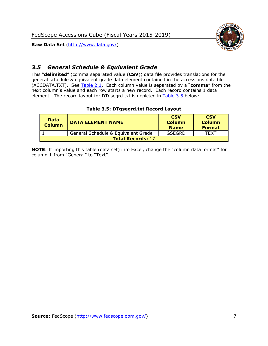

## <span id="page-7-0"></span>*3.5 General Schedule & Equivalent Grade*

This "**delimited**" (comma separated value (**CSV**)) data file provides translations for the general schedule & equivalent grade data element contained in the accessions data file (ACCDATA.TXT). See [Table 2.1.](#page-4-0) Each column value is separated by a "**comma**" from the next column's value and each row starts a new record. Each record contains 1 data element. The record layout for DTgsegrd.txt is depicted in [Table 3.5](#page-7-1) below:

#### **Table 3.5: DTgsegrd.txt Record Layout**

<span id="page-7-1"></span>

| <b>Data</b><br><b>Column</b> | <b>DATA ELEMENT NAME</b>            | <b>CSV</b><br><b>Column</b><br><b>Name</b> | <b>CSV</b><br><b>Column</b><br><b>Format</b> |  |  |
|------------------------------|-------------------------------------|--------------------------------------------|----------------------------------------------|--|--|
|                              | General Schedule & Equivalent Grade | GSEGRD                                     | TFXT                                         |  |  |
| <b>Total Records: 17</b>     |                                     |                                            |                                              |  |  |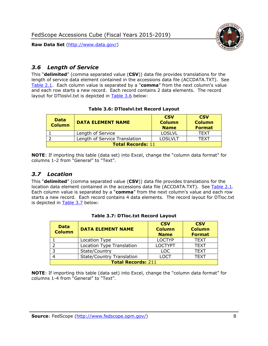

## <span id="page-8-0"></span>*3.6 Length of Service*

This "**delimited**" (comma separated value (**CSV**)) data file provides translations for the length of service data element contained in the accessions data file (ACCDATA.TXT). See [Table 2.1.](#page-4-0) Each column value is separated by a "**comma**" from the next column's value and each row starts a new record. Each record contains 2 data elements. The record layout for DTloslvl.txt is depicted in [Table 3.6](#page-8-2) below:

#### **Table 3.6: DTloslvl.txt Record Layout**

<span id="page-8-2"></span>

| <b>Data</b><br><b>Column</b> | <b>DATA ELEMENT NAME</b>      | <b>CSV</b><br><b>Column</b><br><b>Name</b> | <b>CSV</b><br><b>Column</b><br><b>Format</b> |  |
|------------------------------|-------------------------------|--------------------------------------------|----------------------------------------------|--|
|                              | Length of Service             | <b>LOSLVL</b>                              | TFXT                                         |  |
|                              | Length of Service Translation | LOSLVLT                                    | TFXT                                         |  |
| <b>Total Records: 11</b>     |                               |                                            |                                              |  |

**NOTE**: If importing this table (data set) into Excel, change the "column data format" for columns 1-2 from "General" to "Text".

#### <span id="page-8-1"></span>*3.7 Location*

This "**delimited**" (comma separated value (**CSV**)) data file provides translations for the location data element contained in the accessions data file (ACCDATA.TXT). See [Table 2.1.](#page-4-0) Each column value is separated by a "**comma**" from the next column's value and each row starts a new record. Each record contains 4 data elements. The record layout for DTloc.txt is depicted in [Table 3.7](#page-8-3) below:

<span id="page-8-3"></span>

| <b>Data</b><br><b>Column</b> | <b>DATA ELEMENT NAME</b>         | <b>CSV</b><br><b>Column</b><br><b>Name</b> | <b>CSV</b><br><b>Column</b><br><b>Format</b> |
|------------------------------|----------------------------------|--------------------------------------------|----------------------------------------------|
|                              | Location Type                    | <b>LOCTYP</b>                              | <b>TEXT</b>                                  |
|                              | Location Type Translation        | <b>LOCTYPT</b>                             | <b>TEXT</b>                                  |
|                              | State/Country                    | <b>LOC</b>                                 | <b>TEXT</b>                                  |
|                              | <b>State/Country Translation</b> | LOCT                                       | <b>TEXT</b>                                  |
| <b>Total Records: 211</b>    |                                  |                                            |                                              |

#### **Table 3.7: DTloc.txt Record Layout**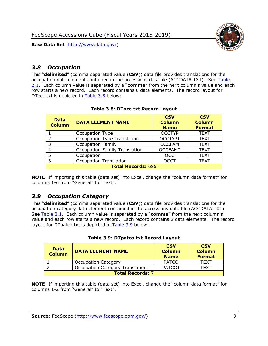



## <span id="page-9-0"></span>*3.8 Occupation*

This "**delimited**" (comma separated value (**CSV**)) data file provides translations for the occupation data element contained in the accessions data file (ACCDATA.TXT). See [Table](#page-4-0)  [2.1.](#page-4-0) Each column value is separated by a "**comma**" from the next column's value and each row starts a new record. Each record contains 6 data elements. The record layout for DTocc.txt is depicted in [Table 3.8](#page-9-2) below:

<span id="page-9-2"></span>

| <b>Data</b><br><b>Column</b> | <b>DATA ELEMENT NAME</b>             | <b>CSV</b><br><b>Column</b><br><b>Name</b> | <b>CSV</b><br><b>Column</b><br><b>Format</b> |  |
|------------------------------|--------------------------------------|--------------------------------------------|----------------------------------------------|--|
|                              | Occupation Type                      | <b>OCCTYP</b>                              | <b>TEXT</b>                                  |  |
|                              | <b>Occupation Type Translation</b>   | <b>OCCTYPT</b>                             | <b>TEXT</b>                                  |  |
|                              | <b>Occupation Family</b>             | <b>OCCFAM</b>                              | <b>TEXT</b>                                  |  |
|                              | <b>Occupation Family Translation</b> | <b>OCCFAMT</b>                             | <b>TEXT</b>                                  |  |
|                              | Occupation                           | <b>OCC</b>                                 | <b>TEXT</b>                                  |  |
|                              | <b>Occupation Translation</b>        | <b>OCCT</b>                                | <b>TEXT</b>                                  |  |
| <b>Total Records: 685</b>    |                                      |                                            |                                              |  |

#### **Table 3.8: DTocc.txt Record Layout**

**NOTE**: If importing this table (data set) into Excel, change the "column data format" for columns 1-6 from "General" to "Text".

#### <span id="page-9-1"></span>*3.9 Occupation Category*

This "**delimited**" (comma separated value (**CSV**)) data file provides translations for the occupation category data element contained in the accessions data file (ACCDATA.TXT). See [Table 2.1.](#page-4-0) Each column value is separated by a "**comma**" from the next column's value and each row starts a new record. Each record contains 2 data elements. The record layout for DTpatco.txt is depicted in **Table 3.9** below:

<span id="page-9-3"></span>

| Data<br><b>Column</b>   | <b>DATA ELEMENT NAME</b>               | <b>CSV</b><br><b>Column</b><br><b>Name</b> | <b>CSV</b><br><b>Column</b><br><b>Format</b> |
|-------------------------|----------------------------------------|--------------------------------------------|----------------------------------------------|
|                         | <b>Occupation Category</b>             | <b>PATCO</b>                               | <b>TEXT</b>                                  |
|                         | <b>Occupation Category Translation</b> | <b>PATCOT</b>                              | TFXT                                         |
| <b>Total Records: 7</b> |                                        |                                            |                                              |

#### **Table 3.9: DTpatco.txt Record Layout**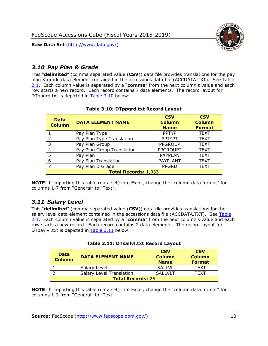

## <span id="page-10-0"></span>*3.10 Pay Plan & Grade*

This "**delimited**" (comma separated value (**CSV**)) data file provides translations for the pay plan & grade data element contained in the accessions data file (ACCDATA.TXT). See [Table](#page-4-0)  [2.1.](#page-4-0) Each column value is separated by a "**comma**" from the next column's value and each row starts a new record. Each record contains 7 data elements. The record layout for DTppgrd.txt is depicted in [Table 3.10](#page-10-2) below:

<span id="page-10-2"></span>

| <b>Data</b><br><b>Column</b> | <b>DATA ELEMENT NAME</b>   | <b>CSV</b><br><b>Column</b><br><b>Name</b> | <b>CSV</b><br><b>Column</b><br><b>Format</b> |  |
|------------------------------|----------------------------|--------------------------------------------|----------------------------------------------|--|
|                              | Pay Plan Type              | <b>PPTYP</b>                               | <b>TEXT</b>                                  |  |
| $\mathcal{D}$                | Pay Plan Type Translation  | <b>PPTYPT</b>                              | <b>TEXT</b>                                  |  |
| 3                            | Pay Plan Group             | <b>PPGROUP</b>                             | <b>TEXT</b>                                  |  |
| 4                            | Pay Plan Group Translation | <b>PPGROUPT</b>                            | <b>TEXT</b>                                  |  |
| 5                            | Pay Plan                   | <b>PAYPLAN</b>                             | <b>TEXT</b>                                  |  |
| 6                            | Pay Plan Translation       | <b>PAYPLANT</b>                            | <b>TEXT</b>                                  |  |
|                              | Pay Plan & Grade           | <b>PPGRD</b>                               | <b>TEXT</b>                                  |  |
| <b>Total Records: 1,033</b>  |                            |                                            |                                              |  |

#### **Table 3.10: DTppgrd.txt Record Layout**

**NOTE**: If importing this table (data set) into Excel, change the "column data format" for columns 1-7 from "General" to "Text".

#### <span id="page-10-1"></span>*3.11 Salary Level*

This "**delimited**" (comma separated value (**CSV**)) data file provides translations for the salary level data element contained in the accessions data file (ACCDATA.TXT). See Table [2.1.](#page-4-0) Each column value is separated by a "**comma**" from the next column's value and each row starts a new record. Each record contains 2 data elements. The record layout for DTpaylvl.txt is depicted in [Table 3.11](#page-10-3) below:

<span id="page-10-3"></span>

| <b>Data</b><br><b>Column</b> | <b>DATA ELEMENT NAME</b>        | <b>CSV</b><br><b>Column</b><br><b>Name</b> | <b>CSV</b><br><b>Column</b><br><b>Format</b> |
|------------------------------|---------------------------------|--------------------------------------------|----------------------------------------------|
|                              | Salary Level                    | <b>SALLVL</b>                              | TFXT                                         |
|                              | <b>Salary Level Translation</b> | <b>SALLVLT</b>                             | TFXT                                         |
| <b>Total Records: 26</b>     |                                 |                                            |                                              |

|  |  | Table 3.11: DTsallvl.txt Record Layout |  |
|--|--|----------------------------------------|--|
|  |  |                                        |  |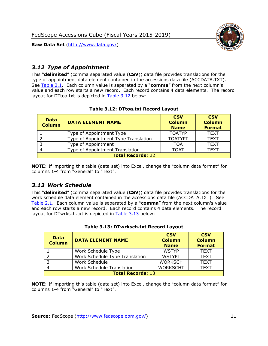

## <span id="page-11-0"></span>*3.12 Type of Appointment*

This "**delimited**" (comma separated value (**CSV**)) data file provides translations for the type of appointment data element contained in the accessions data file (ACCDATA.TXT). See [Table 2.1.](#page-4-0) Each column value is separated by a "**comma**" from the next column's value and each row starts a new record. Each record contains 4 data elements. The record layout for DTtoa.txt is depicted in [Table 3.12](#page-11-2) below:

<span id="page-11-2"></span>

| <b>Data</b><br><b>Column</b> | <b>DATA ELEMENT NAME</b>             | <b>CSV</b><br><b>Column</b><br><b>Name</b> | <b>CSV</b><br><b>Column</b><br><b>Format</b> |  |
|------------------------------|--------------------------------------|--------------------------------------------|----------------------------------------------|--|
|                              | Type of Appointment Type             | <b>TOATYP</b>                              | <b>TEXT</b>                                  |  |
|                              | Type of Appointment Type Translation | <b>TOATYPT</b>                             | <b>TEXT</b>                                  |  |
| 3                            | Type of Appointment                  | TOA                                        | <b>TEXT</b>                                  |  |
|                              | Type of Appointment Translation      | <b>TOAT</b>                                | <b>TEXT</b>                                  |  |
| <b>Total Records: 22</b>     |                                      |                                            |                                              |  |

#### **Table 3.12: DTtoa.txt Record Layout**

**NOTE**: If importing this table (data set) into Excel, change the "column data format" for columns 1-4 from "General" to "Text".

#### <span id="page-11-1"></span>*3.13 Work Schedule*

This "**delimited**" (comma separated value (**CSV**)) data file provides translations for the work schedule data element contained in the accessions data file (ACCDATA.TXT). See [Table 2.1.](#page-4-0) Each column value is separated by a "**comma**" from the next column's value and each row starts a new record. Each record contains 4 data elements. The record layout for DTwrksch.txt is depicted in [Table 3.13](#page-11-3) below:

<span id="page-11-3"></span>

| <b>Data</b><br><b>Column</b> | <b>DATA ELEMENT NAME</b>       | <b>CSV</b><br><b>Column</b><br><b>Name</b> | <b>CSV</b><br><b>Column</b><br><b>Format</b> |
|------------------------------|--------------------------------|--------------------------------------------|----------------------------------------------|
|                              | Work Schedule Type             | <b>WSTYP</b>                               | <b>TEXT</b>                                  |
|                              | Work Schedule Type Translation | <b>WSTYPT</b>                              | <b>TEXT</b>                                  |
|                              | Work Schedule                  | <b>WORKSCH</b>                             | <b>TEXT</b>                                  |
|                              | Work Schedule Translation      | <b>WORKSCHT</b>                            | <b>TEXT</b>                                  |
| <b>Total Records: 13</b>     |                                |                                            |                                              |

#### **Table 3.13: DTwrksch.txt Record Layout**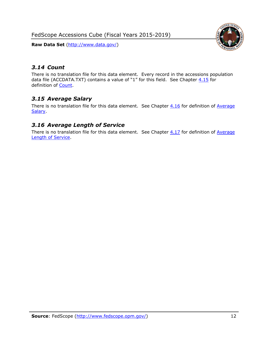FedScope Accessions Cube (Fiscal Years 2015-2019)

**Raw Data Set** (http://www.data.gov/)



## <span id="page-12-0"></span>*3.14 Count*

There is no translation file for this data element. Every record in the accessions population data file (ACCDATA.TXT) contains a value of "1" for this field. See Chapter  $4.15$  for definition of [Count.](#page-16-2)

## <span id="page-12-1"></span>*3.15 Average Salary*

There is no translation file for this data element. See Chapter  $4.16$  for definition of Average **Salary** 

### <span id="page-12-2"></span>*3.16 Average Length of Service*

There is no translation file for this data element. See Chapter  $4.17$  for definition of Average [Length of Service.](#page-16-4)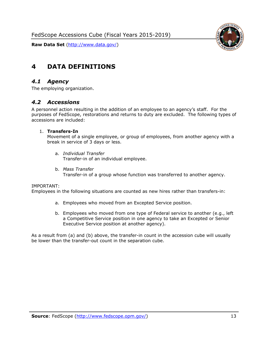

## <span id="page-13-0"></span>**4 DATA DEFINITIONS**

#### <span id="page-13-1"></span>*4.1 Agency*

<span id="page-13-2"></span>The employing organization.

#### *4.2 Accessions*

A personnel action resulting in the addition of an employee to an agency's staff. For the purposes of FedScope, restorations and returns to duty are excluded. The following types of accessions are included:

#### 1. **Transfers-In**

Movement of a single employee, or group of employees, from another agency with a break in service of 3 days or less.

- a. *Individual Transfer* Transfer-in of an individual employee.
- b. *Mass Transfer* Transfer-in of a group whose function was transferred to another agency.

#### IMPORTANT:

Employees in the following situations are counted as new hires rather than transfers-in:

- a. Employees who moved from an Excepted Service position.
- b. Employees who moved from one type of Federal service to another (e.g., left a Competitive Service position in one agency to take an Excepted or Senior Executive Service position at another agency).

As a result from (a) and (b) above, the transfer-in count in the accession cube will usually be lower than the transfer-out count in the separation cube.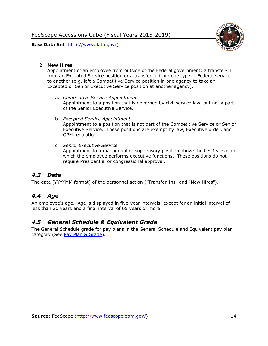

#### 2. **New Hires**

Appointment of an employee from outside of the Federal government; a transfer-in from an Excepted Service position or a transfer-in from one type of Federal service to another (e.g. left a Competitive Service position in one agency to take an Excepted or Senior Executive Service position at another agency).

- a. *Competitive Service Appointment* Appointment to a position that is governed by civil service law, but not a part of the Senior Executive Service.
- b. *Excepted Service Appointment* Appointment to a position that is not part of the Competitive Service or Senior Executive Service. These positions are exempt by law, Executive order, and OPM regulation.
- c. *Senior Executive Service* Appointment to a managerial or supervisory position above the GS-15 level in which the employee performs executive functions. These positions do not require Presidential or congressional approval.

## <span id="page-14-0"></span>*4.3 Date*

<span id="page-14-1"></span>The date (YYYYMM format) of the personnel action ("Transfer-Ins" and "New Hires").

## *4.4 Age*

An employee's age. Age is displayed in five-year intervals, except for an initial interval of less than 20 years and a final interval of 65 years or more.

#### <span id="page-14-2"></span>*4.5 General Schedule & Equivalent Grade*

The General Schedule grade for pay plans in the General Schedule and Equivalent pay plan category (See [Pay Plan & Grade\)](#page-10-0).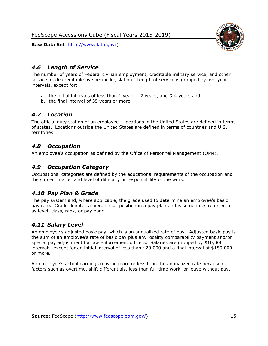

#### <span id="page-15-0"></span>*4.6 Length of Service*

The number of years of Federal civilian employment, creditable military service, and other service made creditable by specific legislation. Length of service is grouped by five-year intervals, except for:

- a. the initial intervals of less than 1 year, 1-2 years, and 3-4 years and
- b. the final interval of 35 years or more.

#### <span id="page-15-1"></span>*4.7 Location*

The official duty station of an employee. Locations in the United States are defined in terms of states. Locations outside the United States are defined in terms of countries and U.S. territories.

#### <span id="page-15-2"></span>*4.8 Occupation*

<span id="page-15-3"></span>An employee's occupation as defined by the Office of Personnel Management (OPM).

#### *4.9 Occupation Category*

Occupational categories are defined by the educational requirements of the occupation and the subject matter and level of difficulty or responsibility of the work.

#### <span id="page-15-4"></span>*4.10 Pay Plan & Grade*

The pay system and, where applicable, the grade used to determine an employee's basic pay rate. Grade denotes a hierarchical position in a pay plan and is sometimes referred to as level, class, rank, or pay band.

#### <span id="page-15-5"></span>*4.11 Salary Level*

An employee's adjusted basic pay, which is an annualized rate of pay. Adjusted basic pay is the sum of an employee's rate of basic pay plus any locality comparability payment and/or special pay adjustment for law enforcement officers. Salaries are grouped by \$10,000 intervals, except for an initial interval of less than \$20,000 and a final interval of \$180,000 or more.

An employee's actual earnings may be more or less than the annualized rate because of factors such as overtime, shift differentials, less than full time work, or leave without pay.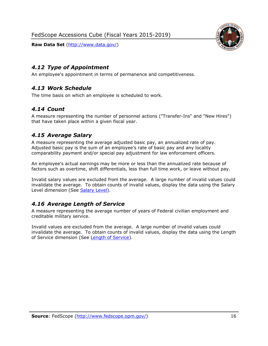



#### <span id="page-16-0"></span>*4.12 Type of Appointment*

<span id="page-16-1"></span>An employee's appointment in terms of permanence and competitiveness.

#### *4.13 Work Schedule*

<span id="page-16-2"></span>The time basis on which an employee is scheduled to work.

#### *4.14 Count*

A measure representing the number of personnel actions ("Transfer-Ins" and "New Hires") that have taken place within a given fiscal year.

### <span id="page-16-3"></span>*4.15 Average Salary*

A measure representing the average adjusted basic pay, an annualized rate of pay. Adjusted basic pay is the sum of an employee's rate of basic pay and any locality comparability payment and/or special pay adjustment for law enforcement officers.

An employee's actual earnings may be more or less than the annualized rate because of factors such as overtime, shift differentials, less than full time work, or leave without pay.

Invalid salary values are excluded from the average. A large number of invalid values could invalidate the average. To obtain counts of invalid values, display the data using the Salary Level dimension (See [Salary Level\)](#page-15-5).

## <span id="page-16-4"></span>*4.16 Average Length of Service*

A measure representing the average number of years of Federal civilian employment and creditable military service.

Invalid values are excluded from the average. A large number of invalid values could invalidate the average. To obtain counts of invalid values, display the data using the Length of Service dimension (See [Length of Service\)](#page-15-0).